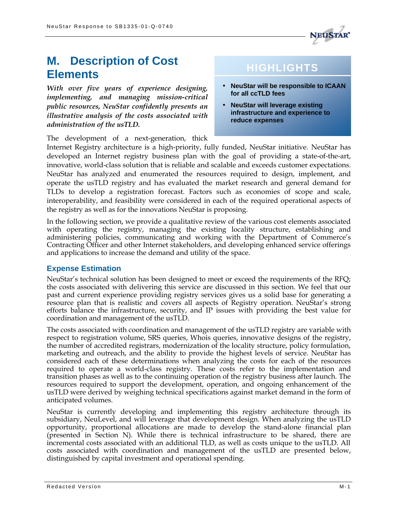

# **M. Description of Cost Elements**

*With over five years of experience designing, implementing, and managing mission-critical public resources, NeuStar confidently presents an illustrative analysis of the costs associated with administration of the usTLD.*

The development of a next-generation, thick

# **HIGHLIGHTS**

- **NeuStar will be responsible to ICAAN for all ccTLD fees**
- **NeuStar will leverage existing infrastructure and experience to reduce expenses**

Internet Registry architecture is a high-priority, fully funded, NeuStar initiative. NeuStar has developed an Internet registry business plan with the goal of providing a state-of-the-art, innovative, world-class solution that is reliable and scalable and exceeds customer expectations. NeuStar has analyzed and enumerated the resources required to design, implement, and operate the usTLD registry and has evaluated the market research and general demand for TLDs to develop a registration forecast. Factors such as economies of scope and scale, interoperability, and feasibility were considered in each of the required operational aspects of the registry as well as for the innovations NeuStar is proposing.

In the following section, we provide a qualitative review of the various cost elements associated with operating the registry, managing the existing locality structure, establishing and administering policies, communicating and working with the Department of Commerce's Contracting Officer and other Internet stakeholders, and developing enhanced service offerings and applications to increase the demand and utility of the space.

# **Expense Estimation**

NeuStar's technical solution has been designed to meet or exceed the requirements of the RFQ; the costs associated with delivering this service are discussed in this section. We feel that our past and current experience providing registry services gives us a solid base for generating a resource plan that is realistic and covers all aspects of Registry operation. NeuStar's strong efforts balance the infrastructure, security, and IP issues with providing the best value for coordination and management of the usTLD.

The costs associated with coordination and management of the usTLD registry are variable with respect to registration volume, SRS queries, Whois queries, innovative designs of the registry, the number of accredited registrars, modernization of the locality structure, policy formulation, marketing and outreach, and the ability to provide the highest levels of service. NeuStar has considered each of these determinations when analyzing the costs for each of the resources required to operate a world-class registry. These costs refer to the implementation and transition phases as well as to the continuing operation of the registry business after launch. The resources required to support the development, operation, and ongoing enhancement of the usTLD were derived by weighing technical specifications against market demand in the form of anticipated volumes.

NeuStar is currently developing and implementing this registry architecture through its subsidiary, NeuLevel, and will leverage that development design. When analyzing the usTLD opportunity, proportional allocations are made to develop the stand-alone financial plan (presented in Section N). While there is technical infrastructure to be shared, there are incremental costs associated with an additional TLD, as well as costs unique to the usTLD. All costs associated with coordination and management of the usTLD are presented below, distinguished by capital investment and operational spending.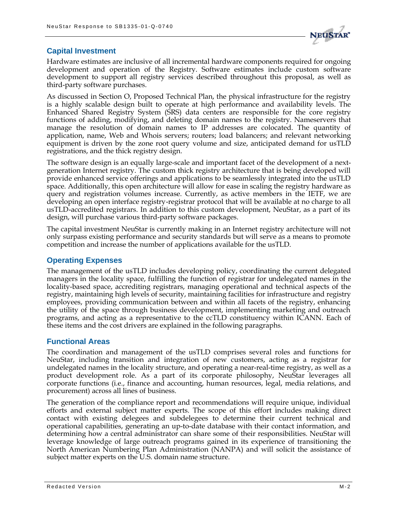

# **Capital Investment**

Hardware estimates are inclusive of all incremental hardware components required for ongoing development and operation of the Registry. Software estimates include custom software development to support all registry services described throughout this proposal, as well as third-party software purchases.

As discussed in Section O, Proposed Technical Plan, the physical infrastructure for the registry is a highly scalable design built to operate at high performance and availability levels. The Enhanced Shared Registry System (SRS) data centers are responsible for the core registry functions of adding, modifying, and deleting domain names to the registry. Nameservers that manage the resolution of domain names to IP addresses are colocated. The quantity of application, name, Web and Whois servers; routers; load balancers; and relevant networking equipment is driven by the zone root query volume and size, anticipated demand for usTLD registrations, and the thick registry design.

The software design is an equally large-scale and important facet of the development of a nextgeneration Internet registry. The custom thick registry architecture that is being developed will provide enhanced service offerings and applications to be seamlessly integrated into the usTLD space. Additionally, this open architecture will allow for ease in scaling the registry hardware as query and registration volumes increase. Currently, as active members in the IETF, we are developing an open interface registry-registrar protocol that will be available at no charge to all usTLD-accredited registrars. In addition to this custom development, NeuStar, as a part of its design, will purchase various third-party software packages.

The capital investment NeuStar is currently making in an Internet registry architecture will not only surpass existing performance and security standards but will serve as a means to promote competition and increase the number of applications available for the usTLD.

### **Operating Expenses**

The management of the usTLD includes developing policy, coordinating the current delegated managers in the locality space, fulfilling the function of registrar for undelegated names in the locality-based space, accrediting registrars, managing operational and technical aspects of the registry, maintaining high levels of security, maintaining facilities for infrastructure and registry employees, providing communication between and within all facets of the registry, enhancing the utility of the space through business development, implementing marketing and outreach programs, and acting as a representative to the ccTLD constituency within ICANN. Each of these items and the cost drivers are explained in the following paragraphs.

#### **Functional Areas**

The coordination and management of the usTLD comprises several roles and functions for NeuStar, including transition and integration of new customers, acting as a registrar for undelegated names in the locality structure, and operating a near-real-time registry, as well as a product development role. As a part of its corporate philosophy, NeuStar leverages all corporate functions (i.e., finance and accounting, human resources, legal, media relations, and procurement) across all lines of business.

The generation of the compliance report and recommendations will require unique, individual efforts and external subject matter experts. The scope of this effort includes making direct contact with existing delegees and subdelegees to determine their current technical and operational capabilities, generating an up-to-date database with their contact information, and determining how a central administrator can share some of their responsibilities. NeuStar will leverage knowledge of large outreach programs gained in its experience of transitioning the North American Numbering Plan Administration (NANPA) and will solicit the assistance of subject matter experts on the U.S. domain name structure.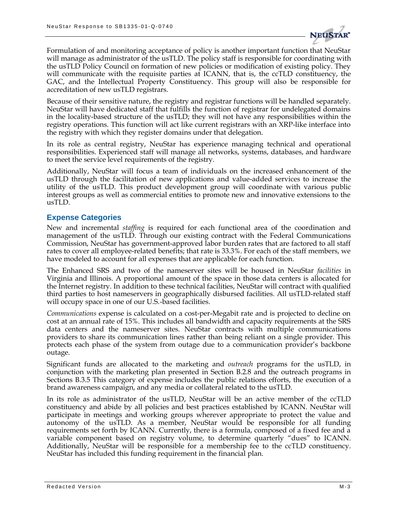

Formulation of and monitoring acceptance of policy is another important function that NeuStar will manage as administrator of the usTLD. The policy staff is responsible for coordinating with the usTLD Policy Council on formation of new policies or modification of existing policy. They will communicate with the requisite parties at ICANN, that is, the ccTLD constituency, the GAC, and the Intellectual Property Constituency. This group will also be responsible for accreditation of new usTLD registrars.

Because of their sensitive nature, the registry and registrar functions will be handled separately. NeuStar will have dedicated staff that fulfills the function of registrar for undelegated domains in the locality-based structure of the usTLD; they will not have any responsibilities within the registry operations. This function will act like current registrars with an XRP-like interface into the registry with which they register domains under that delegation.

In its role as central registry, NeuStar has experience managing technical and operational responsibilities. Experienced staff will manage all networks, systems, databases, and hardware to meet the service level requirements of the registry.

Additionally, NeuStar will focus a team of individuals on the increased enhancement of the usTLD through the facilitation of new applications and value-added services to increase the utility of the usTLD. This product development group will coordinate with various public interest groups as well as commercial entities to promote new and innovative extensions to the usTLD.

#### **Expense Categories**

New and incremental *staffing* is required for each functional area of the coordination and management of the usTLD. Through our existing contract with the Federal Communications Commission, NeuStar has government-approved labor burden rates that are factored to all staff rates to cover all employee-related benefits; that rate is 33.3%. For each of the staff members, we have modeled to account for all expenses that are applicable for each function.

The Enhanced SRS and two of the nameserver sites will be housed in NeuStar *facilities* in Virginia and Illinois. A proportional amount of the space in those data centers is allocated for the Internet registry. In addition to these technical facilities, NeuStar will contract with qualified third parties to host nameservers in geographically disbursed facilities. All usTLD-related staff will occupy space in one of our U.S.-based facilities.

*Communications* expense is calculated on a cost-per-Megabit rate and is projected to decline on cost at an annual rate of 15%. This includes all bandwidth and capacity requirements at the SRS data centers and the nameserver sites. NeuStar contracts with multiple communications providers to share its communication lines rather than being reliant on a single provider. This protects each phase of the system from outage due to a communication provider's backbone outage.

Significant funds are allocated to the marketing and *outreach* programs for the usTLD, in conjunction with the marketing plan presented in Section B.2.8 and the outreach programs in Sections B.3.5 This category of expense includes the public relations efforts, the execution of a brand awareness campaign, and any media or collateral related to the usTLD.

In its role as administrator of the usTLD, NeuStar will be an active member of the ccTLD constituency and abide by all policies and best practices established by ICANN. NeuStar will participate in meetings and working groups wherever appropriate to protect the value and autonomy of the usTLD. As a member, NeuStar would be responsible for all funding requirements set forth by ICANN. Currently, there is a formula, composed of a fixed fee and a variable component based on registry volume, to determine quarterly "dues" to ICANN. Additionally, NeuStar will be responsible for a membership fee to the ccTLD constituency. NeuStar has included this funding requirement in the financial plan.